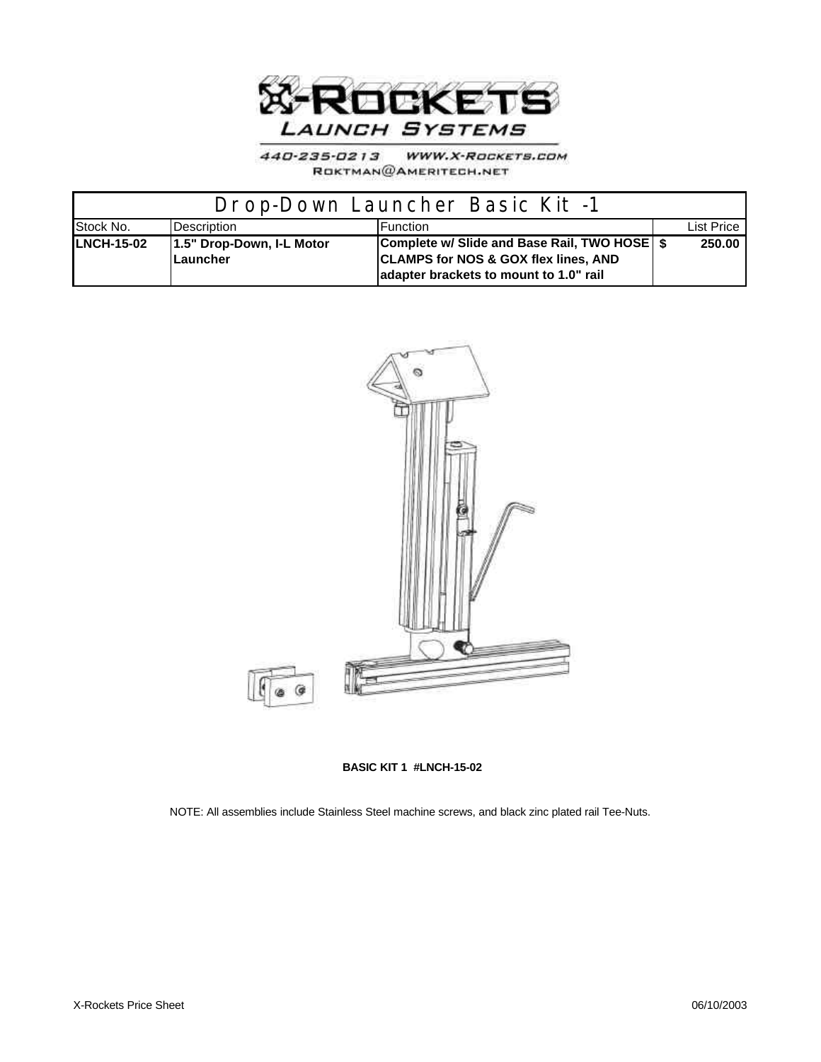

440-235-0213 WWW.X-ROCKETS.COM ROKTMAN@AMERITECH.NET

| Drop-Down Launcher Basic Kit -1 |                                       |                                                                                                                                             |  |            |
|---------------------------------|---------------------------------------|---------------------------------------------------------------------------------------------------------------------------------------------|--|------------|
| Stock No.                       | <b>Description</b>                    | <b>Function</b>                                                                                                                             |  | List Price |
| <b>LNCH-15-02</b>               | 1.5" Drop-Down, I-L Motor<br>Launcher | Complete w/ Slide and Base Rail, TWO HOSE   \$<br><b>CLAMPS for NOS &amp; GOX flex lines, AND</b><br>adapter brackets to mount to 1.0" rail |  | 250.00     |



**BASIC KIT 1 #LNCH-15-02**

NOTE: All assemblies include Stainless Steel machine screws, and black zinc plated rail Tee-Nuts.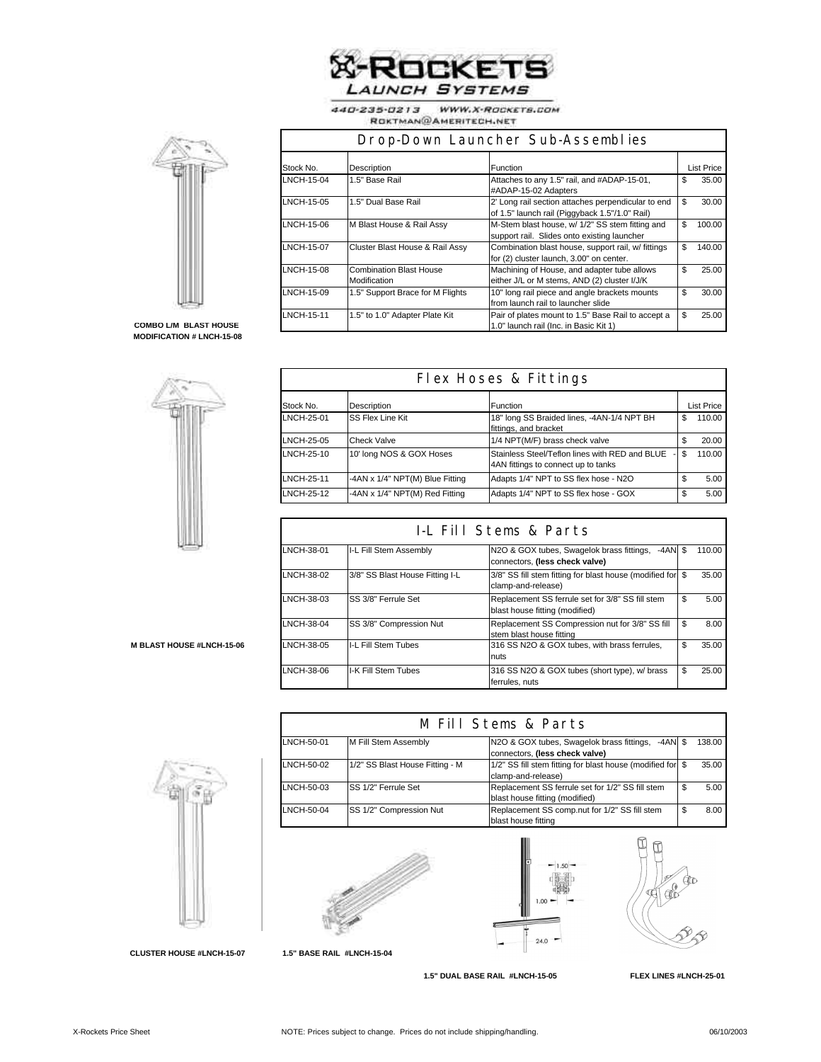

440-235-0213 WWW.X-ROCKETS.COM ROKTMAN@AMERITECH.NET



Ī

| Drop-Down Launcher Sub-Assemblies |                                                |                                                                                                      |    |                   |
|-----------------------------------|------------------------------------------------|------------------------------------------------------------------------------------------------------|----|-------------------|
| Stock No.                         | Description                                    | <b>Function</b>                                                                                      |    | <b>List Price</b> |
| LNCH-15-04                        | 1.5" Base Rail                                 | Attaches to any 1.5" rail, and #ADAP-15-01,<br>#ADAP-15-02 Adapters                                  | \$ | 35.00             |
| LNCH-15-05                        | 1.5" Dual Base Rail                            | 2' Long rail section attaches perpendicular to end<br>of 1.5" launch rail (Piggyback 1.5"/1.0" Rail) | \$ | 30.00             |
| LNCH-15-06                        | M Blast House & Rail Assy                      | M-Stem blast house, w/ 1/2" SS stem fitting and<br>support rail. Slides onto existing launcher       | \$ | 100.00            |
| LNCH-15-07                        | Cluster Blast House & Rail Assy                | Combination blast house, support rail, w/ fittings<br>for (2) cluster launch, 3.00" on center.       | \$ | 140.00            |
| LNCH-15-08                        | <b>Combination Blast House</b><br>Modification | Machining of House, and adapter tube allows<br>either J/L or M stems, AND (2) cluster I/J/K          | \$ | 25.00             |
| LNCH-15-09                        | 1.5" Support Brace for M Flights               | 10" long rail piece and angle brackets mounts<br>from launch rail to launcher slide                  | \$ | 30.00             |
| <b>LNCH-15-11</b>                 | 1.5" to 1.0" Adapter Plate Kit                 | Pair of plates mount to 1.5" Base Rail to accept a<br>1.0" launch rail (Inc. in Basic Kit 1)         | \$ | 25.00             |

## **COMBO L/M BLAST HOUSE MODIFICATION # LNCH-15-08**



| Flex Hoses & Fittings |                                 |                                                                                       |    |                   |
|-----------------------|---------------------------------|---------------------------------------------------------------------------------------|----|-------------------|
| Stock No.             | Description                     | Function                                                                              |    | <b>List Price</b> |
| LNCH-25-01            | SS Flex Line Kit                | 18" long SS Braided lines, -4AN-1/4 NPT BH<br>fittings, and bracket                   | \$ | 110.00            |
| LNCH-25-05            | Check Valve                     | 1/4 NPT(M/F) brass check valve                                                        |    | 20.00             |
| LNCH-25-10            | 10' long NOS & GOX Hoses        | Stainless Steel/Teflon lines with RED and BLUE<br>4AN fittings to connect up to tanks | \$ | 110.00            |
| LNCH-25-11            | -4AN x 1/4" NPT(M) Blue Fitting | Adapts 1/4" NPT to SS flex hose - N2O                                                 | \$ | 5.00              |
| LNCH-25-12            | -4AN x 1/4" NPT(M) Red Fitting  | Adapts 1/4" NPT to SS flex hose - GOX                                                 | \$ | 5.00              |

| I-L Fill Stems & Parts |                                 |                                                                                          |     |        |
|------------------------|---------------------------------|------------------------------------------------------------------------------------------|-----|--------|
| LNCH-38-01             | I-L Fill Stem Assembly          | N2O & GOX tubes, Swagelok brass fittings,<br>$-4AN$ \$<br>connectors, (less check valve) |     | 110.00 |
| LNCH-38-02             | 3/8" SS Blast House Fitting I-L | 3/8" SS fill stem fitting for blast house (modified for<br>clamp-and-release)            | \$. | 35.00  |
| LNCH-38-03             | SS 3/8" Ferrule Set             | Replacement SS ferrule set for 3/8" SS fill stem<br>blast house fitting (modified)       | \$  | 5.00   |
| LNCH-38-04             | SS 3/8" Compression Nut         | Replacement SS Compression nut for 3/8" SS fill<br>stem blast house fitting              | \$  | 8.00   |
| LNCH-38-05             | I-L Fill Stem Tubes             | 316 SS N2O & GOX tubes, with brass ferrules.<br>nuts                                     | \$  | 35.00  |
| LNCH-38-06             | I-K Fill Stem Tubes             | 316 SS N2O & GOX tubes (short type), w/ brass<br>ferrules, nuts                          | \$  | 25.00  |

**M BLAST HOUSE #LNCH-15-06** 

| M Fill Stems & Parts |                                 |                                                                                     |  |        |
|----------------------|---------------------------------|-------------------------------------------------------------------------------------|--|--------|
| LNCH-50-01           | M Fill Stem Assembly            | N2O & GOX tubes, Swagelok brass fittings, -4AN \$<br>connectors, (less check valve) |  | 138.00 |
| LNCH-50-02           | 1/2" SS Blast House Fitting - M | 1/2" SS fill stem fitting for blast house (modified for \$<br>clamp-and-release)    |  | 35.00  |
| LNCH-50-03           | SS 1/2" Ferrule Set             | Replacement SS ferrule set for 1/2" SS fill stem<br>blast house fitting (modified)  |  | 5.00   |
| LNCH-50-04           | SS 1/2" Compression Nut         | Replacement SS comp.nut for 1/2" SS fill stem<br>blast house fitting                |  | 8.00   |



**1.5" BASE RAIL #LNCH-15-04**





 **1.5" DUAL BASE RAIL #LNCH-15-05 FLEX LINES #LNCH-25-01**



**CLUSTER HOUSE #LNCH-15-07**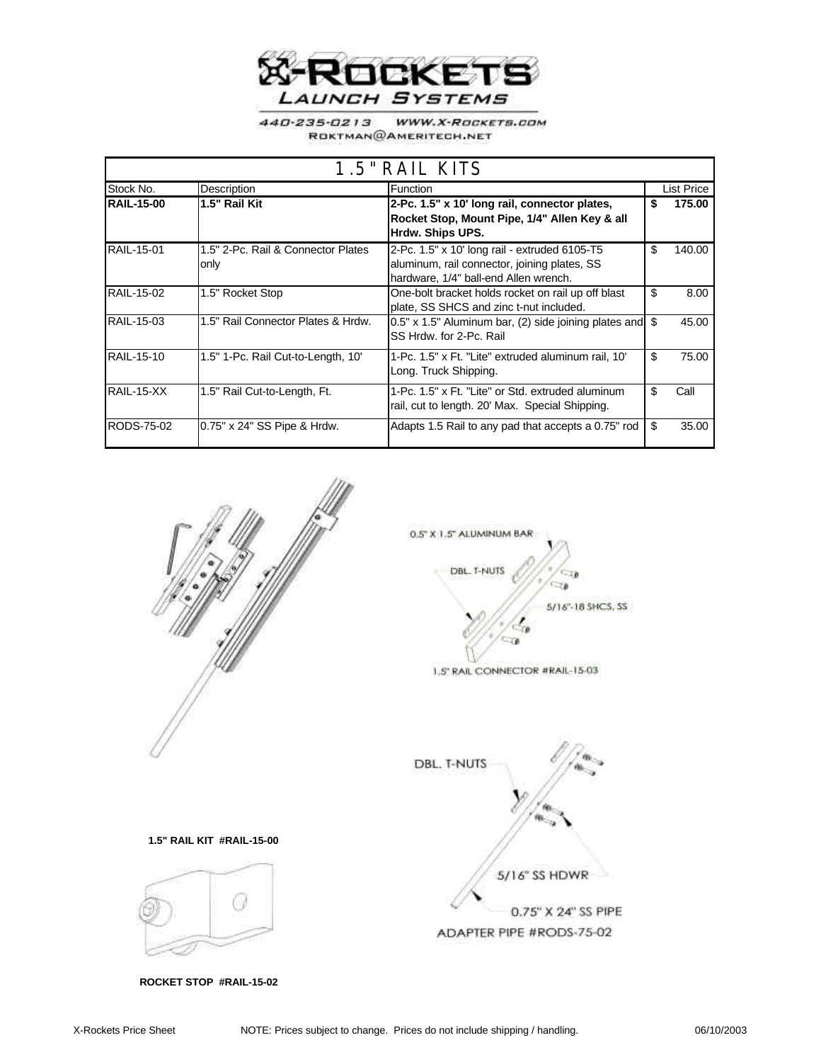

WWW.X-ROCKETS.COM 440-235-0213 ROKTMAN@AMERITECH.NET

| 1.5" RAIL KITS    |                                            |                                                                                                                                        |    |            |
|-------------------|--------------------------------------------|----------------------------------------------------------------------------------------------------------------------------------------|----|------------|
| Stock No.         | Description                                | Function                                                                                                                               |    | List Price |
| <b>RAIL-15-00</b> | 1.5" Rail Kit                              | 2-Pc. 1.5" x 10' long rail, connector plates,<br>Rocket Stop, Mount Pipe, 1/4" Allen Key & all<br>Hrdw. Ships UPS.                     | S  | 175.00     |
| <b>RAIL-15-01</b> | 1.5" 2-Pc. Rail & Connector Plates<br>only | 2-Pc. 1.5" x 10' long rail - extruded 6105-T5<br>aluminum, rail connector, joining plates, SS<br>hardware, 1/4" ball-end Allen wrench. | \$ | 140.00     |
| <b>RAIL-15-02</b> | 1.5" Rocket Stop                           | One-bolt bracket holds rocket on rail up off blast<br>plate, SS SHCS and zinc t-nut included.                                          | \$ | 8.00       |
| <b>RAIL-15-03</b> | 1.5" Rail Connector Plates & Hrdw.         | $0.5"$ x 1.5" Aluminum bar, (2) side joining plates and $\$<br>SS Hrdw. for 2-Pc. Rail                                                 |    | 45.00      |
| RAIL-15-10        | 1.5" 1-Pc. Rail Cut-to-Length, 10'         | 1-Pc. 1.5" x Ft. "Lite" extruded aluminum rail, 10"<br>Long. Truck Shipping.                                                           | \$ | 75.00      |
| RAIL-15-XX        | 1.5" Rail Cut-to-Length, Ft.               | 1-Pc. 1.5" x Ft. "Lite" or Std. extruded aluminum<br>rail, cut to length. 20' Max. Special Shipping.                                   | \$ | Call       |
| RODS-75-02        | 0.75" x 24" SS Pipe & Hrdw.                | Adapts 1.5 Rail to any pad that accepts a 0.75" rod                                                                                    | \$ | 35.00      |



 **ROCKET STOP #RAIL-15-02**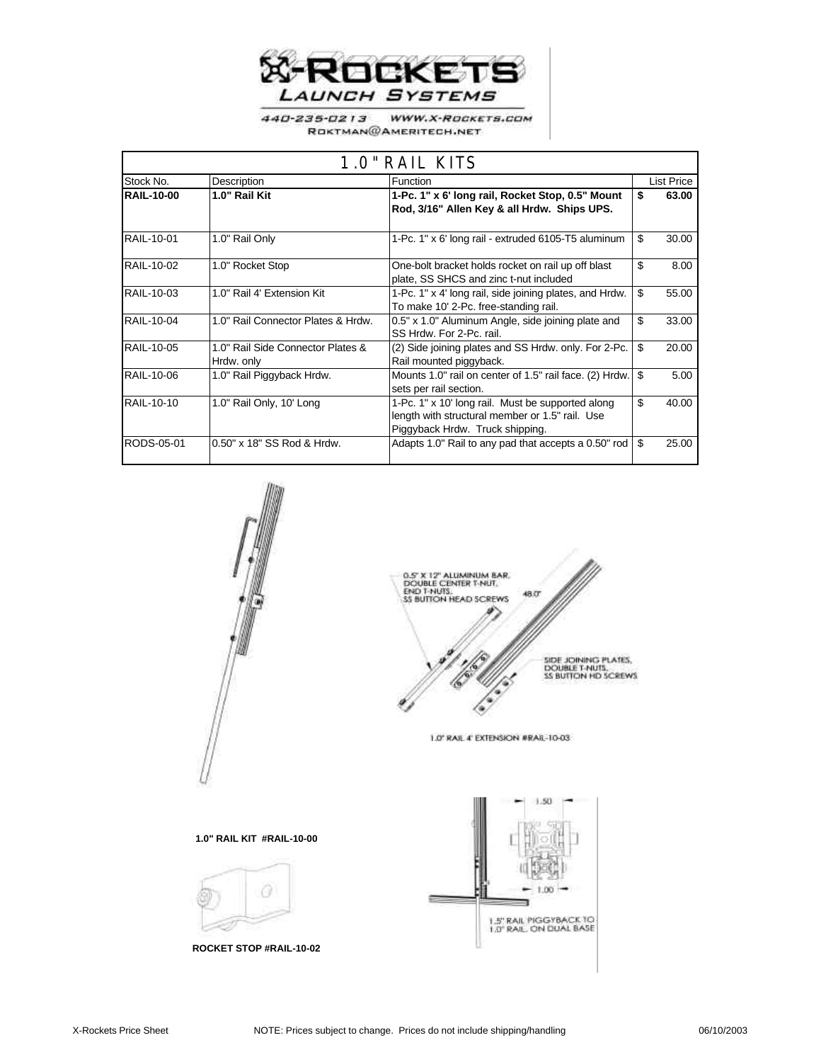

WWW.X-ROCKETS.COM 440-235-0213 ROKTMAN@AMERITECH.NET

| 1.0" RAIL KITS    |                                                 |                                                                                                                                         |              |  |
|-------------------|-------------------------------------------------|-----------------------------------------------------------------------------------------------------------------------------------------|--------------|--|
| Stock No.         | Description                                     | Function                                                                                                                                | List Price   |  |
| <b>RAIL-10-00</b> | 1.0" Rail Kit                                   | 1-Pc. 1" x 6' long rail, Rocket Stop, 0.5" Mount<br>Rod, 3/16" Allen Key & all Hrdw. Ships UPS.                                         | 63.00<br>\$  |  |
| RAIL-10-01        | 1.0" Rail Only                                  | 1-Pc. 1" x 6' long rail - extruded 6105-T5 aluminum                                                                                     | \$<br>30.00  |  |
| RAIL-10-02        | 1.0" Rocket Stop                                | One-bolt bracket holds rocket on rail up off blast<br>plate, SS SHCS and zinc t-nut included                                            | \$.<br>8.00  |  |
| RAIL-10-03        | 1.0" Rail 4' Extension Kit                      | 1-Pc. 1" x 4' long rail, side joining plates, and Hrdw.<br>To make 10' 2-Pc. free-standing rail.                                        | \$<br>55.00  |  |
| RAIL-10-04        | 1.0" Rail Connector Plates & Hrdw.              | 0.5" x 1.0" Aluminum Angle, side joining plate and<br>SS Hrdw. For 2-Pc. rail.                                                          | \$.<br>33.00 |  |
| RAIL-10-05        | 1.0" Rail Side Connector Plates &<br>Hrdw. only | (2) Side joining plates and SS Hrdw. only. For 2-Pc.<br>Rail mounted piggyback.                                                         | \$<br>20.00  |  |
| RAIL-10-06        | 1.0" Rail Piggyback Hrdw.                       | Mounts 1.0" rail on center of 1.5" rail face. (2) Hrdw.<br>sets per rail section.                                                       | \$<br>5.00   |  |
| RAIL-10-10        | 1.0" Rail Only, 10' Long                        | 1-Pc. 1" x 10' long rail. Must be supported along<br>length with structural member or 1.5" rail. Use<br>Piggyback Hrdw. Truck shipping. | \$<br>40.00  |  |
| RODS-05-01        | 0.50" x 18" SS Rod & Hrdw.                      | Adapts 1.0" Rail to any pad that accepts a 0.50" rod                                                                                    | 25.00<br>\$  |  |





1.0" RAIL 4" EXTENSION #RAIL-10-03

## **1.0" RAIL KIT #RAIL-10-00**



**ROCKET STOP #RAIL-10-02**